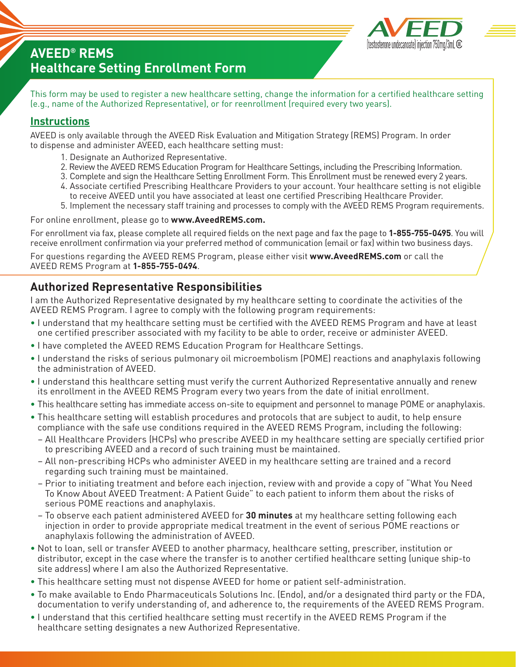

# **AVEED® REMS Healthcare Setting Enrollment Form**

This form may be used to register a new healthcare setting, change the information for a certified healthcare setting (e.g., name of the Authorized Representative), or for reenrollment (required every two years).

## **Instructions**

AVEED is only available through the AVEED Risk Evaluation and Mitigation Strategy (REMS) Program. In order to dispense and administer AVEED, each healthcare setting must:

- 1. Designate an Authorized Representative.
- 2. Review the AVEED REMS Education Program for Healthcare Settings, including the Prescribing Information.
- 3. Complete and sign the Healthcare Setting Enrollment Form. This Enrollment must be renewed every 2 years.
- 4. Associate certified Prescribing Healthcare Providers to your account. Your healthcare setting is not eligible to receive AVEED until you have associated at least one certified Prescribing Healthcare Provider.
- **5.** 5. Implement the necessary staff training and processes to comply with the AVEED REMS Program requirements.

#### For online enrollment, please go to **www.AveedREMS.com.**

For enrollment via fax, please complete all required fields on the next page and fax the page to **1-855-755-0495**. You will receive enrollment confirmation via your preferred method of communication (email or fax) within two business days.

For questions regarding the AVEED REMS Program, please either visit **www.AveedREMS.com** or call the AVEED REMS Program at **1-855-755-0494**.

## **Authorized Representative Responsibilities**

I am the Authorized Representative designated by my healthcare setting to coordinate the activities of the AVEED REMS Program. I agree to comply with the following program requirements:

- I understand that my healthcare setting must be certified with the AVEED REMS Program and have at least one certified prescriber associated with my facility to be able to order, receive or administer AVEED.
- I have completed the AVEED REMS Education Program for Healthcare Settings.
- I understand the risks of serious pulmonary oil microembolism (POME) reactions and anaphylaxis following the administration of AVEED.
- I understand this healthcare setting must verify the current Authorized Representative annually and renew its enrollment in the AVEED REMS Program every two years from the date of initial enrollment.
- This healthcare setting has immediate access on-site to equipment and personnel to manage POME or anaphylaxis.
- This healthcare setting will establish procedures and protocols that are subject to audit, to help ensure compliance with the safe use conditions required in the AVEED REMS Program, including the following:
- All Healthcare Providers (HCPs) who prescribe AVEED in my healthcare setting are specially certified prior to prescribing AVEED and a record of such training must be maintained.
- All non-prescribing HCPs who administer AVEED in my healthcare setting are trained and a record regarding such training must be maintained.
- Prior to initiating treatment and before each injection, review with and provide a copy of "What You Need To Know About AVEED Treatment: A Patient Guide" to each patient to inform them about the risks of serious POME reactions and anaphylaxis.
- To observe each patient administered AVEED for **30 minutes** at my healthcare setting following each injection in order to provide appropriate medical treatment in the event of serious POME reactions or anaphylaxis following the administration of AVEED.
- Not to loan, sell or transfer AVEED to another pharmacy, healthcare setting, prescriber, institution or distributor, except in the case where the transfer is to another certified healthcare setting (unique ship-to site address) where I am also the Authorized Representative.
- This healthcare setting must not dispense AVEED for home or patient self-administration.
- To make available to Endo Pharmaceuticals Solutions Inc. (Endo), and/or a designated third party or the FDA, documentation to verify understanding of, and adherence to, the requirements of the AVEED REMS Program.
- I understand that this certified healthcare setting must recertify in the AVEED REMS Program if the healthcare setting designates a new Authorized Representative.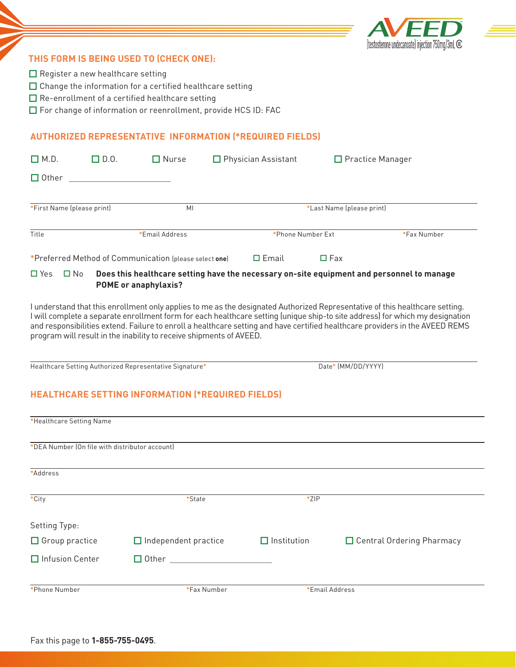

#### **THIS FORM IS BEING USED TO (CHECK ONE):**

- $\Box$  Register a new healthcare setting
- $\Box$  Change the information for a certified healthcare setting
- $\Box$  Re-enrollment of a certified healthcare setting
- $\Box$  For change of information or reenrollment, provide HCS ID: FAC

#### **AUTHORIZED REPRESENTATIVE INFORMATION (\*REQUIRED FIELDS)**

| $\Box$ M.D.                | $\square$ D.O. | $\square$ Nurse                                        | $\Box$ Physician Assistant                                                                                                                                                     |                           | □ Practice Manager |
|----------------------------|----------------|--------------------------------------------------------|--------------------------------------------------------------------------------------------------------------------------------------------------------------------------------|---------------------------|--------------------|
| $\Box$ Other               |                |                                                        |                                                                                                                                                                                |                           |                    |
| *First Name (please print) |                | MI                                                     |                                                                                                                                                                                | *Last Name (please print) |                    |
| Title                      |                | *Email Address                                         | *Phone Number Ext                                                                                                                                                              |                           | *Fax Number        |
|                            |                | *Preferred Method of Communication (please select one) | $\square$ Email                                                                                                                                                                | $\square$ Fax             |                    |
|                            |                |                                                        | $\n  \Box \vee_{\alpha\alpha} \Box \Lambda \Box \Box \Box \Box \Box \Box \Box \Box \Box \Box \Box \Box \Box \Box \Box \Box \Box \Box \Box \Box \Box \Box \Box \Box \Box \Box $ |                           |                    |

#### Does this healthcare setting have the necessary on-site equipment and personnel to manage **POME or anaphylaxis?**

I understand that this enrollment only applies to me as the designated Authorized Representative of this healthcare setting. I will complete a separate enrollment form for each healthcare setting (unique ship-to site address) for which my designation and responsibilities extend. Failure to enroll a healthcare setting and have certified healthcare providers in the AVEED REMS program will result in the inability to receive shipments of AVEED.

Healthcare Setting Authorized Representative Signature\* Date\* (MM/DD/YYYY)

### **HEALTHCARE SETTING INFORMATION (\*REQUIRED FIELDS)**

| *Healthcare Setting Name                       |                                          |                    |                             |
|------------------------------------------------|------------------------------------------|--------------------|-----------------------------|
| *DEA Number (On file with distributor account) |                                          |                    |                             |
| *Address                                       |                                          |                    |                             |
| *City                                          | *State                                   | $*ZIP$             |                             |
| Setting Type:                                  |                                          |                    |                             |
| $\Box$ Group practice                          | $\Box$ Independent practice              | $\Box$ Institution | □ Central Ordering Pharmacy |
| □ Infusion Center                              | $\Box$ Other and $\Box$ Other and $\Box$ |                    |                             |
| *Phone Number                                  | *Fax Number                              |                    | *Email Address              |